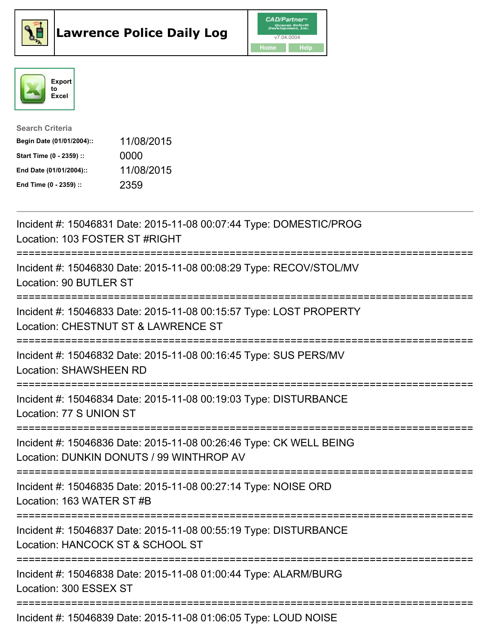





| <b>Search Criteria</b>    |            |
|---------------------------|------------|
| Begin Date (01/01/2004):: | 11/08/2015 |
| Start Time (0 - 2359) ::  | 0000       |
| End Date (01/01/2004)::   | 11/08/2015 |
| End Time (0 - 2359) ::    | 2359       |

| Incident #: 15046831 Date: 2015-11-08 00:07:44 Type: DOMESTIC/PROG<br>Location: 103 FOSTER ST #RIGHT                                                 |
|------------------------------------------------------------------------------------------------------------------------------------------------------|
| Incident #: 15046830 Date: 2015-11-08 00:08:29 Type: RECOV/STOL/MV<br>Location: 90 BUTLER ST                                                         |
| Incident #: 15046833 Date: 2015-11-08 00:15:57 Type: LOST PROPERTY<br>Location: CHESTNUT ST & LAWRENCE ST                                            |
| Incident #: 15046832 Date: 2015-11-08 00:16:45 Type: SUS PERS/MV<br><b>Location: SHAWSHEEN RD</b>                                                    |
| Incident #: 15046834 Date: 2015-11-08 00:19:03 Type: DISTURBANCE<br>Location: 77 S UNION ST<br>. <u>-------------------</u> -                        |
| Incident #: 15046836 Date: 2015-11-08 00:26:46 Type: CK WELL BEING<br>Location: DUNKIN DONUTS / 99 WINTHROP AV<br>:================================= |
| Incident #: 15046835 Date: 2015-11-08 00:27:14 Type: NOISE ORD<br>Location: 163 WATER ST #B                                                          |
| Incident #: 15046837 Date: 2015-11-08 00:55:19 Type: DISTURBANCE<br>Location: HANCOCK ST & SCHOOL ST                                                 |
| Incident #: 15046838 Date: 2015-11-08 01:00:44 Type: ALARM/BURG<br>Location: 300 ESSEX ST                                                            |
| Incident #: 15046839 Date: 2015-11-08 01:06:05 Type: LOUD NOISE                                                                                      |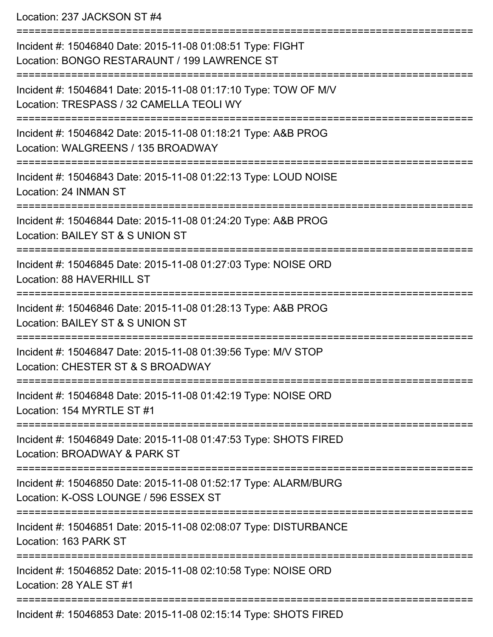Location: 237 JACKSON ST #4

| Incident #: 15046840 Date: 2015-11-08 01:08:51 Type: FIGHT<br>Location: BONGO RESTARAUNT / 199 LAWRENCE ST                 |
|----------------------------------------------------------------------------------------------------------------------------|
| Incident #: 15046841 Date: 2015-11-08 01:17:10 Type: TOW OF M/V<br>Location: TRESPASS / 32 CAMELLA TEOLI WY                |
| Incident #: 15046842 Date: 2015-11-08 01:18:21 Type: A&B PROG<br>Location: WALGREENS / 135 BROADWAY                        |
| Incident #: 15046843 Date: 2015-11-08 01:22:13 Type: LOUD NOISE<br>Location: 24 INMAN ST                                   |
| Incident #: 15046844 Date: 2015-11-08 01:24:20 Type: A&B PROG<br>Location: BAILEY ST & S UNION ST                          |
| Incident #: 15046845 Date: 2015-11-08 01:27:03 Type: NOISE ORD<br>Location: 88 HAVERHILL ST                                |
| Incident #: 15046846 Date: 2015-11-08 01:28:13 Type: A&B PROG<br>Location: BAILEY ST & S UNION ST                          |
| Incident #: 15046847 Date: 2015-11-08 01:39:56 Type: M/V STOP<br>Location: CHESTER ST & S BROADWAY                         |
| Incident #: 15046848 Date: 2015-11-08 01:42:19 Type: NOISE ORD<br>Location: 154 MYRTLE ST #1                               |
| Incident #: 15046849 Date: 2015-11-08 01:47:53 Type: SHOTS FIRED<br>Location: BROADWAY & PARK ST                           |
| ==============<br>Incident #: 15046850 Date: 2015-11-08 01:52:17 Type: ALARM/BURG<br>Location: K-OSS LOUNGE / 596 ESSEX ST |
| Incident #: 15046851 Date: 2015-11-08 02:08:07 Type: DISTURBANCE<br>Location: 163 PARK ST                                  |
| Incident #: 15046852 Date: 2015-11-08 02:10:58 Type: NOISE ORD<br>Location: 28 YALE ST #1                                  |
| Incident #: 15046853 Date: 2015-11-08 02:15:14 Type: SHOTS FIRED                                                           |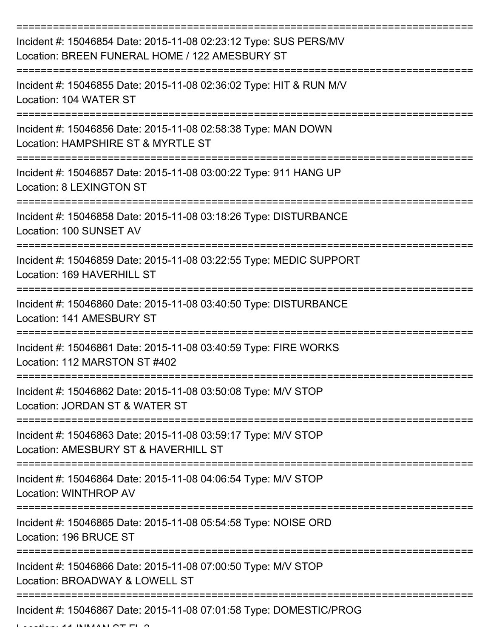| Incident #: 15046854 Date: 2015-11-08 02:23:12 Type: SUS PERS/MV<br>Location: BREEN FUNERAL HOME / 122 AMESBURY ST                    |
|---------------------------------------------------------------------------------------------------------------------------------------|
| Incident #: 15046855 Date: 2015-11-08 02:36:02 Type: HIT & RUN M/V<br>Location: 104 WATER ST                                          |
| Incident #: 15046856 Date: 2015-11-08 02:58:38 Type: MAN DOWN<br>Location: HAMPSHIRE ST & MYRTLE ST                                   |
| Incident #: 15046857 Date: 2015-11-08 03:00:22 Type: 911 HANG UP<br>Location: 8 LEXINGTON ST                                          |
| Incident #: 15046858 Date: 2015-11-08 03:18:26 Type: DISTURBANCE<br>Location: 100 SUNSET AV                                           |
| :================================<br>Incident #: 15046859 Date: 2015-11-08 03:22:55 Type: MEDIC SUPPORT<br>Location: 169 HAVERHILL ST |
| Incident #: 15046860 Date: 2015-11-08 03:40:50 Type: DISTURBANCE<br>Location: 141 AMESBURY ST                                         |
| Incident #: 15046861 Date: 2015-11-08 03:40:59 Type: FIRE WORKS<br>Location: 112 MARSTON ST #402                                      |
| Incident #: 15046862 Date: 2015-11-08 03:50:08 Type: M/V STOP<br>Location: JORDAN ST & WATER ST                                       |
| Incident #: 15046863 Date: 2015-11-08 03:59:17 Type: M/V STOP<br>Location: AMESBURY ST & HAVERHILL ST                                 |
| Incident #: 15046864 Date: 2015-11-08 04:06:54 Type: M/V STOP<br>Location: WINTHROP AV                                                |
| Incident #: 15046865 Date: 2015-11-08 05:54:58 Type: NOISE ORD<br>Location: 196 BRUCE ST                                              |
| Incident #: 15046866 Date: 2015-11-08 07:00:50 Type: M/V STOP<br>Location: BROADWAY & LOWELL ST                                       |
| Incident #: 15046867 Date: 2015-11-08 07:01:58 Type: DOMESTIC/PROG                                                                    |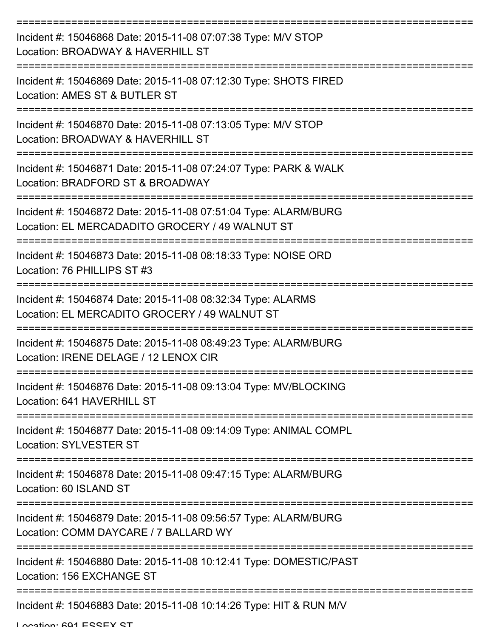| Incident #: 15046868 Date: 2015-11-08 07:07:38 Type: M/V STOP<br>Location: BROADWAY & HAVERHILL ST                 |
|--------------------------------------------------------------------------------------------------------------------|
| Incident #: 15046869 Date: 2015-11-08 07:12:30 Type: SHOTS FIRED<br>Location: AMES ST & BUTLER ST                  |
| Incident #: 15046870 Date: 2015-11-08 07:13:05 Type: M/V STOP<br>Location: BROADWAY & HAVERHILL ST                 |
| Incident #: 15046871 Date: 2015-11-08 07:24:07 Type: PARK & WALK<br>Location: BRADFORD ST & BROADWAY               |
| Incident #: 15046872 Date: 2015-11-08 07:51:04 Type: ALARM/BURG<br>Location: EL MERCADADITO GROCERY / 49 WALNUT ST |
| Incident #: 15046873 Date: 2015-11-08 08:18:33 Type: NOISE ORD<br>Location: 76 PHILLIPS ST #3                      |
| Incident #: 15046874 Date: 2015-11-08 08:32:34 Type: ALARMS<br>Location: EL MERCADITO GROCERY / 49 WALNUT ST       |
| Incident #: 15046875 Date: 2015-11-08 08:49:23 Type: ALARM/BURG<br>Location: IRENE DELAGE / 12 LENOX CIR           |
| Incident #: 15046876 Date: 2015-11-08 09:13:04 Type: MV/BLOCKING<br>Location: 641 HAVERHILL ST                     |
| Incident #: 15046877 Date: 2015-11-08 09:14:09 Type: ANIMAL COMPL<br><b>Location: SYLVESTER ST</b>                 |
| Incident #: 15046878 Date: 2015-11-08 09:47:15 Type: ALARM/BURG<br>Location: 60 ISLAND ST                          |
| Incident #: 15046879 Date: 2015-11-08 09:56:57 Type: ALARM/BURG<br>Location: COMM DAYCARE / 7 BALLARD WY           |
| Incident #: 15046880 Date: 2015-11-08 10:12:41 Type: DOMESTIC/PAST<br>Location: 156 EXCHANGE ST                    |
| Incident #: 15046883 Date: 2015-11-08 10:14:26 Type: HIT & RUN M/V                                                 |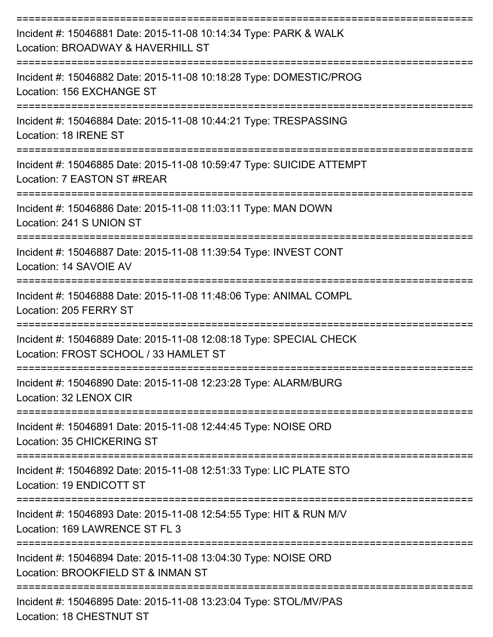| Incident #: 15046881 Date: 2015-11-08 10:14:34 Type: PARK & WALK<br>Location: BROADWAY & HAVERHILL ST                |
|----------------------------------------------------------------------------------------------------------------------|
| Incident #: 15046882 Date: 2015-11-08 10:18:28 Type: DOMESTIC/PROG<br>Location: 156 EXCHANGE ST                      |
| Incident #: 15046884 Date: 2015-11-08 10:44:21 Type: TRESPASSING<br>Location: 18 IRENE ST                            |
| Incident #: 15046885 Date: 2015-11-08 10:59:47 Type: SUICIDE ATTEMPT<br>Location: 7 EASTON ST #REAR                  |
| Incident #: 15046886 Date: 2015-11-08 11:03:11 Type: MAN DOWN<br>Location: 241 S UNION ST                            |
| Incident #: 15046887 Date: 2015-11-08 11:39:54 Type: INVEST CONT<br>Location: 14 SAVOIE AV                           |
| ---------------------<br>Incident #: 15046888 Date: 2015-11-08 11:48:06 Type: ANIMAL COMPL<br>Location: 205 FERRY ST |
| Incident #: 15046889 Date: 2015-11-08 12:08:18 Type: SPECIAL CHECK<br>Location: FROST SCHOOL / 33 HAMLET ST          |
| Incident #: 15046890 Date: 2015-11-08 12:23:28 Type: ALARM/BURG<br>Location: 32 LENOX CIR                            |
| Incident #: 15046891 Date: 2015-11-08 12:44:45 Type: NOISE ORD<br><b>Location: 35 CHICKERING ST</b>                  |
| Incident #: 15046892 Date: 2015-11-08 12:51:33 Type: LIC PLATE STO<br>Location: 19 ENDICOTT ST                       |
| Incident #: 15046893 Date: 2015-11-08 12:54:55 Type: HIT & RUN M/V<br>Location: 169 LAWRENCE ST FL 3                 |
| Incident #: 15046894 Date: 2015-11-08 13:04:30 Type: NOISE ORD<br>Location: BROOKFIELD ST & INMAN ST                 |
| Incident #: 15046895 Date: 2015-11-08 13:23:04 Type: STOL/MV/PAS                                                     |

Location: 18 CHESTNUT ST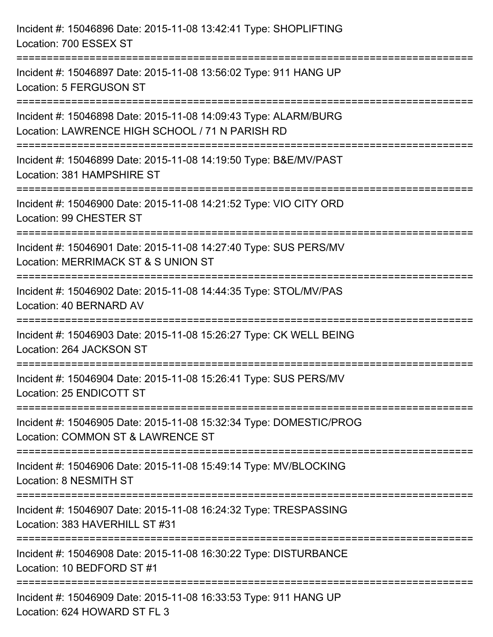| Incident #: 15046896 Date: 2015-11-08 13:42:41 Type: SHOPLIFTING<br>Location: 700 ESSEX ST                                                           |
|------------------------------------------------------------------------------------------------------------------------------------------------------|
| =================================<br>Incident #: 15046897 Date: 2015-11-08 13:56:02 Type: 911 HANG UP<br><b>Location: 5 FERGUSON ST</b>              |
| Incident #: 15046898 Date: 2015-11-08 14:09:43 Type: ALARM/BURG<br>Location: LAWRENCE HIGH SCHOOL / 71 N PARISH RD<br>============================== |
| Incident #: 15046899 Date: 2015-11-08 14:19:50 Type: B&E/MV/PAST<br>Location: 381 HAMPSHIRE ST                                                       |
| Incident #: 15046900 Date: 2015-11-08 14:21:52 Type: VIO CITY ORD<br>Location: 99 CHESTER ST                                                         |
| Incident #: 15046901 Date: 2015-11-08 14:27:40 Type: SUS PERS/MV<br>Location: MERRIMACK ST & S UNION ST                                              |
| :========================<br>Incident #: 15046902 Date: 2015-11-08 14:44:35 Type: STOL/MV/PAS<br>Location: 40 BERNARD AV                             |
| Incident #: 15046903 Date: 2015-11-08 15:26:27 Type: CK WELL BEING<br>Location: 264 JACKSON ST                                                       |
| Incident #: 15046904 Date: 2015-11-08 15:26:41 Type: SUS PERS/MV<br>Location: 25 ENDICOTT ST                                                         |
| Incident #: 15046905 Date: 2015-11-08 15:32:34 Type: DOMESTIC/PROG<br>Location: COMMON ST & LAWRENCE ST                                              |
| Incident #: 15046906 Date: 2015-11-08 15:49:14 Type: MV/BLOCKING<br>Location: 8 NESMITH ST                                                           |
| Incident #: 15046907 Date: 2015-11-08 16:24:32 Type: TRESPASSING<br>Location: 383 HAVERHILL ST #31                                                   |
| Incident #: 15046908 Date: 2015-11-08 16:30:22 Type: DISTURBANCE<br>Location: 10 BEDFORD ST #1                                                       |
| Incident #: 15046909 Date: 2015-11-08 16:33:53 Type: 911 HANG UP<br>Location: 624 HOWARD ST FL 3                                                     |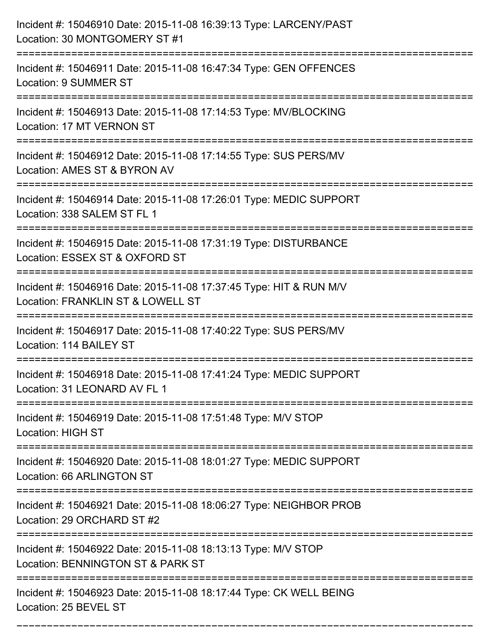| Incident #: 15046910 Date: 2015-11-08 16:39:13 Type: LARCENY/PAST<br>Location: 30 MONTGOMERY ST #1                                 |
|------------------------------------------------------------------------------------------------------------------------------------|
| Incident #: 15046911 Date: 2015-11-08 16:47:34 Type: GEN OFFENCES<br><b>Location: 9 SUMMER ST</b>                                  |
| Incident #: 15046913 Date: 2015-11-08 17:14:53 Type: MV/BLOCKING<br>Location: 17 MT VERNON ST                                      |
| Incident #: 15046912 Date: 2015-11-08 17:14:55 Type: SUS PERS/MV<br>Location: AMES ST & BYRON AV                                   |
| Incident #: 15046914 Date: 2015-11-08 17:26:01 Type: MEDIC SUPPORT<br>Location: 338 SALEM ST FL 1                                  |
| Incident #: 15046915 Date: 2015-11-08 17:31:19 Type: DISTURBANCE<br>Location: ESSEX ST & OXFORD ST                                 |
| Incident #: 15046916 Date: 2015-11-08 17:37:45 Type: HIT & RUN M/V<br>Location: FRANKLIN ST & LOWELL ST                            |
| Incident #: 15046917 Date: 2015-11-08 17:40:22 Type: SUS PERS/MV<br>Location: 114 BAILEY ST                                        |
| Incident #: 15046918 Date: 2015-11-08 17:41:24 Type: MEDIC SUPPORT<br>Location: 31 LEONARD AV FL 1                                 |
| Incident #: 15046919 Date: 2015-11-08 17:51:48 Type: M/V STOP<br><b>Location: HIGH ST</b>                                          |
| Incident #: 15046920 Date: 2015-11-08 18:01:27 Type: MEDIC SUPPORT<br>Location: 66 ARLINGTON ST                                    |
| Incident #: 15046921 Date: 2015-11-08 18:06:27 Type: NEIGHBOR PROB<br>Location: 29 ORCHARD ST #2<br>============================== |
| Incident #: 15046922 Date: 2015-11-08 18:13:13 Type: M/V STOP<br>Location: BENNINGTON ST & PARK ST                                 |
| Incident #: 15046923 Date: 2015-11-08 18:17:44 Type: CK WELL BEING<br>Location: 25 BEVEL ST                                        |

===========================================================================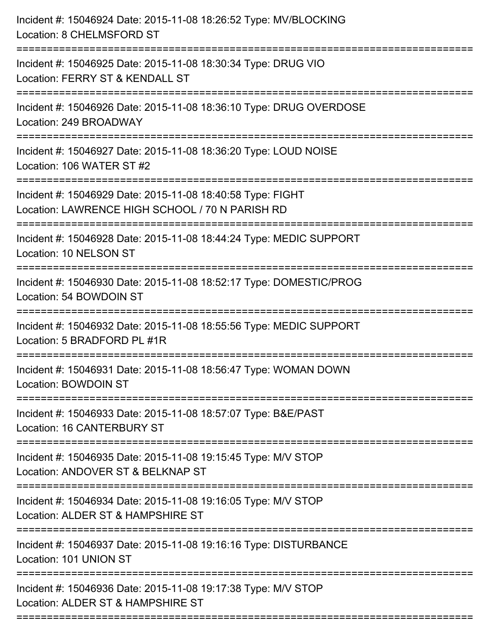| Incident #: 15046924 Date: 2015-11-08 18:26:52 Type: MV/BLOCKING<br>Location: 8 CHELMSFORD ST<br>:=========================== |
|-------------------------------------------------------------------------------------------------------------------------------|
| Incident #: 15046925 Date: 2015-11-08 18:30:34 Type: DRUG VIO<br>Location: FERRY ST & KENDALL ST                              |
| Incident #: 15046926 Date: 2015-11-08 18:36:10 Type: DRUG OVERDOSE<br>Location: 249 BROADWAY                                  |
| Incident #: 15046927 Date: 2015-11-08 18:36:20 Type: LOUD NOISE<br>Location: 106 WATER ST #2<br>:==================           |
| Incident #: 15046929 Date: 2015-11-08 18:40:58 Type: FIGHT<br>Location: LAWRENCE HIGH SCHOOL / 70 N PARISH RD                 |
| Incident #: 15046928 Date: 2015-11-08 18:44:24 Type: MEDIC SUPPORT<br>Location: 10 NELSON ST                                  |
| Incident #: 15046930 Date: 2015-11-08 18:52:17 Type: DOMESTIC/PROG<br>Location: 54 BOWDOIN ST                                 |
| Incident #: 15046932 Date: 2015-11-08 18:55:56 Type: MEDIC SUPPORT<br>Location: 5 BRADFORD PL #1R                             |
| Incident #: 15046931 Date: 2015-11-08 18:56:47 Type: WOMAN DOWN<br><b>Location: BOWDOIN ST</b>                                |
| Incident #: 15046933 Date: 2015-11-08 18:57:07 Type: B&E/PAST<br>Location: 16 CANTERBURY ST                                   |
| Incident #: 15046935 Date: 2015-11-08 19:15:45 Type: M/V STOP<br>Location: ANDOVER ST & BELKNAP ST                            |
| Incident #: 15046934 Date: 2015-11-08 19:16:05 Type: M/V STOP<br>Location: ALDER ST & HAMPSHIRE ST                            |
| Incident #: 15046937 Date: 2015-11-08 19:16:16 Type: DISTURBANCE<br>Location: 101 UNION ST                                    |
| Incident #: 15046936 Date: 2015-11-08 19:17:38 Type: M/V STOP<br>Location: ALDER ST & HAMPSHIRE ST                            |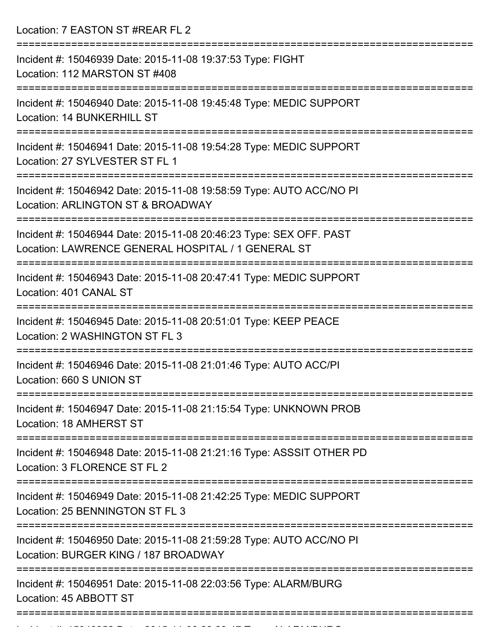Location: 7 EASTON ST #REAR FL 2

| Incident #: 15046939 Date: 2015-11-08 19:37:53 Type: FIGHT<br>Location: 112 MARSTON ST #408                                  |
|------------------------------------------------------------------------------------------------------------------------------|
| Incident #: 15046940 Date: 2015-11-08 19:45:48 Type: MEDIC SUPPORT<br>Location: 14 BUNKERHILL ST                             |
| Incident #: 15046941 Date: 2015-11-08 19:54:28 Type: MEDIC SUPPORT<br>Location: 27 SYLVESTER ST FL 1                         |
| Incident #: 15046942 Date: 2015-11-08 19:58:59 Type: AUTO ACC/NO PI<br>Location: ARLINGTON ST & BROADWAY<br>---------------- |
| Incident #: 15046944 Date: 2015-11-08 20:46:23 Type: SEX OFF. PAST<br>Location: LAWRENCE GENERAL HOSPITAL / 1 GENERAL ST     |
| Incident #: 15046943 Date: 2015-11-08 20:47:41 Type: MEDIC SUPPORT<br>Location: 401 CANAL ST                                 |
| Incident #: 15046945 Date: 2015-11-08 20:51:01 Type: KEEP PEACE<br>Location: 2 WASHINGTON ST FL 3                            |
| Incident #: 15046946 Date: 2015-11-08 21:01:46 Type: AUTO ACC/PI<br>Location: 660 S UNION ST                                 |
| Incident #: 15046947 Date: 2015-11-08 21:15:54 Type: UNKNOWN PROB<br>Location: 18 AMHERST ST                                 |
| Incident #: 15046948 Date: 2015-11-08 21:21:16 Type: ASSSIT OTHER PD<br>Location: 3 FLORENCE ST FL 2                         |
| Incident #: 15046949 Date: 2015-11-08 21:42:25 Type: MEDIC SUPPORT<br>Location: 25 BENNINGTON ST FL 3                        |
| Incident #: 15046950 Date: 2015-11-08 21:59:28 Type: AUTO ACC/NO PI<br>Location: BURGER KING / 187 BROADWAY                  |
| Incident #: 15046951 Date: 2015-11-08 22:03:56 Type: ALARM/BURG<br>Location: 45 ABBOTT ST                                    |
|                                                                                                                              |